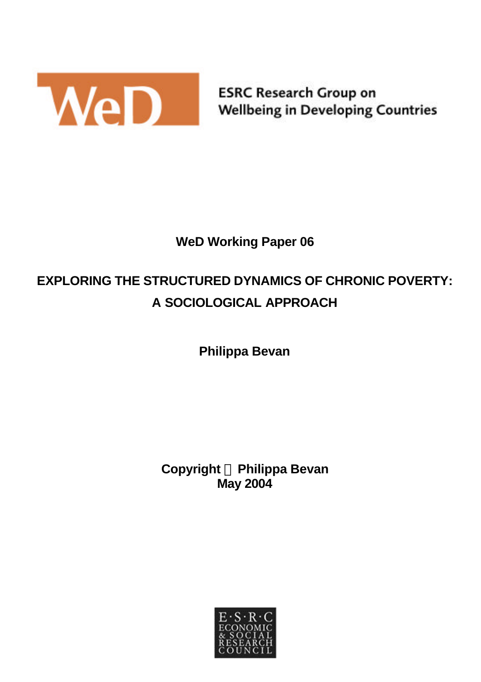

**ESRC Research Group on Wellbeing in Developing Countries** 

# **WeD Working Paper 06**

# **EXPLORING THE STRUCTURED DYNAMICS OF CHRONIC POVERTY: A SOCIOLOGICAL APPROACH**

**Philippa Bevan**

**Copyright Ó Philippa Bevan May 2004**

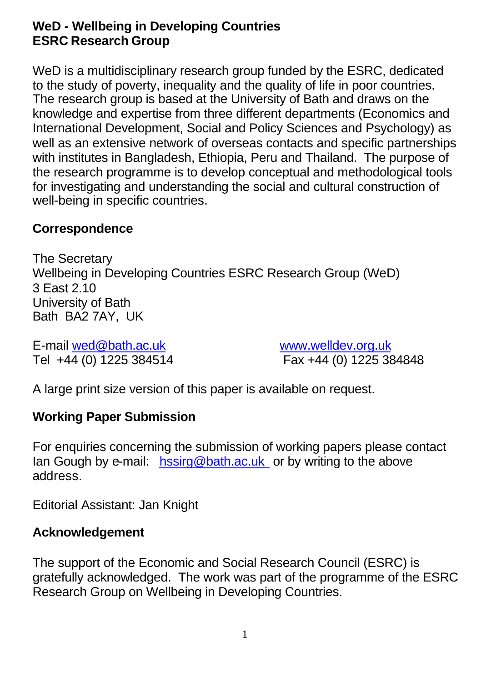### **WeD - Wellbeing in Developing Countries ESRC Research Group**

WeD is a multidisciplinary research group funded by the ESRC, dedicated to the study of poverty, inequality and the quality of life in poor countries. The research group is based at the University of Bath and draws on the knowledge and expertise from three different departments (Economics and International Development, Social and Policy Sciences and Psychology) as well as an extensive network of overseas contacts and specific partnerships with institutes in Bangladesh, Ethiopia, Peru and Thailand. The purpose of the research programme is to develop conceptual and methodological tools for investigating and understanding the social and cultural construction of well-being in specific countries.

### **Correspondence**

The Secretary Wellbeing in Developing Countries ESRC Research Group (WeD) 3 East 2.10 University of Bath Bath BA2 7AY, UK

E-mail wed@bath.ac.uk www.welldev.org.uk Tel +44 (0) 1225 384514 Fax +44 (0) 1225 384848

A large print size version of this paper is available on request.

### **Working Paper Submission**

For enquiries concerning the submission of working papers please contact Ian Gough by e-mail: hssirg@bath.ac.uk or by writing to the above address.

Editorial Assistant: Jan Knight

#### **Acknowledgement**

The support of the Economic and Social Research Council (ESRC) is gratefully acknowledged. The work was part of the programme of the ESRC Research Group on Wellbeing in Developing Countries.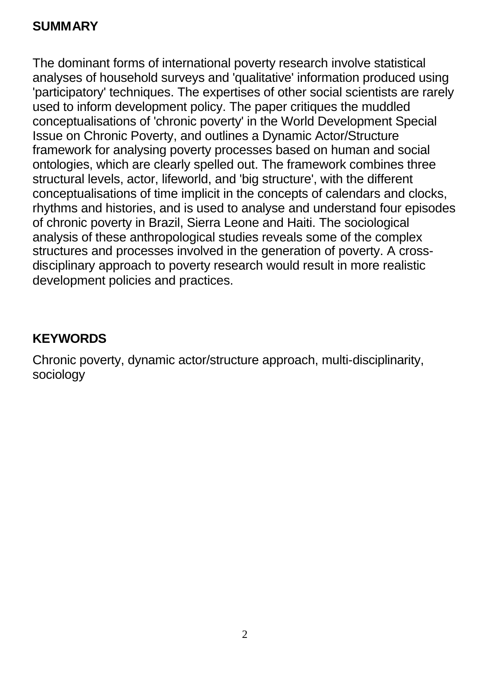### **SUMMARY**

The dominant forms of international poverty research involve statistical analyses of household surveys and 'qualitative' information produced using 'participatory' techniques. The expertises of other social scientists are rarely used to inform development policy. The paper critiques the muddled conceptualisations of 'chronic poverty' in the World Development Special Issue on Chronic Poverty, and outlines a Dynamic Actor/Structure framework for analysing poverty processes based on human and social ontologies, which are clearly spelled out. The framework combines three structural levels, actor, lifeworld, and 'big structure', with the different conceptualisations of time implicit in the concepts of calendars and clocks, rhythms and histories, and is used to analyse and understand four episodes of chronic poverty in Brazil, Sierra Leone and Haiti. The sociological analysis of these anthropological studies reveals some of the complex structures and processes involved in the generation of poverty. A crossdisciplinary approach to poverty research would result in more realistic development policies and practices.

### **KEYWORDS**

Chronic poverty, dynamic actor/structure approach, multi-disciplinarity, sociology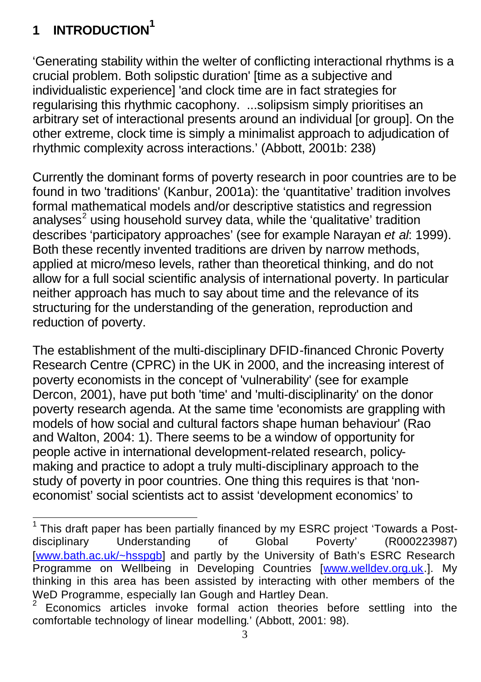# **<sup>1</sup> INTRODUCTION<sup>1</sup>**

'Generating stability within the welter of conflicting interactional rhythms is a crucial problem. Both solipstic duration' [time as a subjective and individualistic experience] 'and clock time are in fact strategies for regularising this rhythmic cacophony. ...solipsism simply prioritises an arbitrary set of interactional presents around an individual [or group]. On the other extreme, clock time is simply a minimalist approach to adjudication of rhythmic complexity across interactions.' (Abbott, 2001b: 238)

Currently the dominant forms of poverty research in poor countries are to be found in two 'traditions' (Kanbur, 2001a): the 'quantitative' tradition involves formal mathematical models and/or descriptive statistics and regression analyses<sup>2</sup> using household survey data, while the 'qualitative' tradition describes 'participatory approaches' (see for example Narayan *et al*: 1999). Both these recently invented traditions are driven by narrow methods, applied at micro/meso levels, rather than theoretical thinking, and do not allow for a full social scientific analysis of international poverty. In particular neither approach has much to say about time and the relevance of its structuring for the understanding of the generation, reproduction and reduction of poverty.

The establishment of the multi-disciplinary DFID-financed Chronic Poverty Research Centre (CPRC) in the UK in 2000, and the increasing interest of poverty economists in the concept of 'vulnerability' (see for example Dercon, 2001), have put both 'time' and 'multi-disciplinarity' on the donor poverty research agenda. At the same time 'economists are grappling with models of how social and cultural factors shape human behaviour' (Rao and Walton, 2004: 1). There seems to be a window of opportunity for people active in international development-related research, policymaking and practice to adopt a truly multi-disciplinary approach to the study of poverty in poor countries. One thing this requires is that 'noneconomist' social scientists act to assist 'development economics' to

 1 This draft paper has been partially financed by my ESRC project 'Towards a Postdisciplinary Understanding of Global Poverty' (R000223987) [www.bath.ac.uk/~hsspgb] and partly by the University of Bath's ESRC Research Programme on Wellbeing in Developing Countries [www.welldev.org.uk.]. My thinking in this area has been assisted by interacting with other members of the WeD Programme, especially lan Gough and Hartley Dean.<br><sup>2</sup> Economias, estigles, involve formal, estian, theories, l

Economics articles invoke formal action theories before settling into the comfortable technology of linear modelling.' (Abbott, 2001: 98).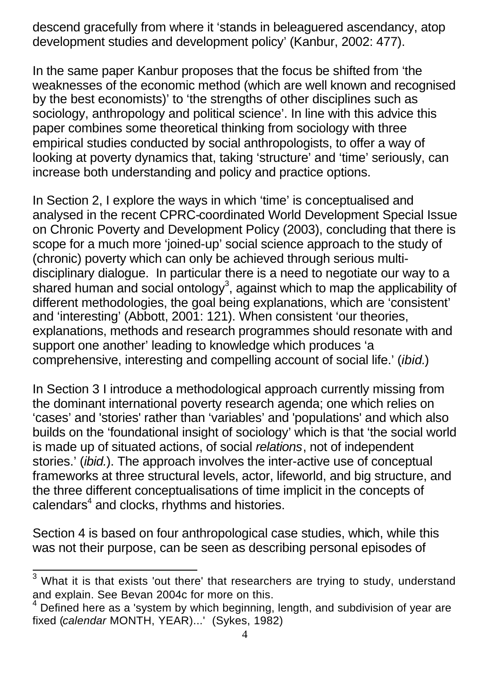descend gracefully from where it 'stands in beleaguered ascendancy, atop development studies and development policy' (Kanbur, 2002: 477).

In the same paper Kanbur proposes that the focus be shifted from 'the weaknesses of the economic method (which are well known and recognised by the best economists)' to 'the strengths of other disciplines such as sociology, anthropology and political science'. In line with this advice this paper combines some theoretical thinking from sociology with three empirical studies conducted by social anthropologists, to offer a way of looking at poverty dynamics that, taking 'structure' and 'time' seriously, can increase both understanding and policy and practice options.

In Section 2, I explore the ways in which 'time' is conceptualised and analysed in the recent CPRC-coordinated World Development Special Issue on Chronic Poverty and Development Policy (2003), concluding that there is scope for a much more 'joined-up' social science approach to the study of (chronic) poverty which can only be achieved through serious multidisciplinary dialogue. In particular there is a need to negotiate our way to a shared human and social ontology<sup>3</sup>, against which to map the applicability of different methodologies, the goal being explanations, which are 'consistent' and 'interesting' (Abbott, 2001: 121). When consistent 'our theories, explanations, methods and research programmes should resonate with and support one another' leading to knowledge which produces 'a comprehensive, interesting and compelling account of social life.' (*ibid.*)

In Section 3 I introduce a methodological approach currently missing from the dominant international poverty research agenda; one which relies on 'cases' and 'stories' rather than 'variables' and 'populations' and which also builds on the 'foundational insight of sociology' which is that 'the social world is made up of situated actions, of social *relations*, not of independent stories.' (*ibid.*). The approach involves the inter-active use of conceptual frameworks at three structural levels, actor, lifeworld, and big structure, and the three different conceptualisations of time implicit in the concepts of  $cal$ alendars<sup>4</sup> and clocks, rhythms and histories.

Section 4 is based on four anthropological case studies, which, while this was not their purpose, can be seen as describing personal episodes of

<sup>&</sup>lt;sup>3</sup> What it is that exists 'out there' that researchers are trying to study, understand and explain. See Bevan 2004c for more on this.

<sup>4</sup> Defined here as a 'system by which beginning, length, and subdivision of year are fixed (*calendar* MONTH, YEAR)...' (Sykes, 1982)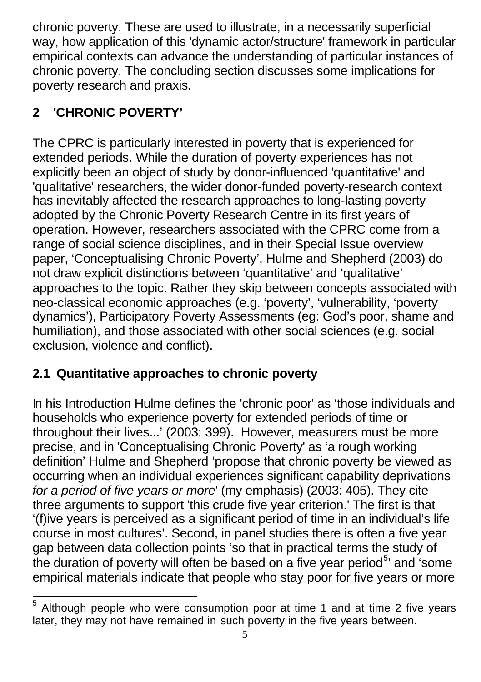chronic poverty. These are used to illustrate, in a necessarily superficial way, how application of this 'dynamic actor/structure' framework in particular empirical contexts can advance the understanding of particular instances of chronic poverty. The concluding section discusses some implications for poverty research and praxis.

# **2 'CHRONIC POVERTY'**

The CPRC is particularly interested in poverty that is experienced for extended periods. While the duration of poverty experiences has not explicitly been an object of study by donor-influenced 'quantitative' and 'qualitative' researchers, the wider donor-funded poverty-research context has inevitably affected the research approaches to long-lasting poverty adopted by the Chronic Poverty Research Centre in its first years of operation. However, researchers associated with the CPRC come from a range of social science disciplines, and in their Special Issue overview paper, 'Conceptualising Chronic Poverty', Hulme and Shepherd (2003) do not draw explicit distinctions between 'quantitative' and 'qualitative' approaches to the topic. Rather they skip between concepts associated with neo-classical economic approaches (e.g. 'poverty', 'vulnerability, 'poverty dynamics'), Participatory Poverty Assessments (eg: God's poor, shame and humiliation), and those associated with other social sciences (e.g. social exclusion, violence and conflict).

## **2.1 Quantitative approaches to chronic poverty**

In his Introduction Hulme defines the 'chronic poor' as 'those individuals and households who experience poverty for extended periods of time or throughout their lives...' (2003: 399). However, measurers must be more precise, and in 'Conceptualising Chronic Poverty' as 'a rough working definition' Hulme and Shepherd 'propose that chronic poverty be viewed as occurring when an individual experiences significant capability deprivations *for a period of five years or more*' (my emphasis) (2003: 405). They cite three arguments to support 'this crude five year criterion.' The first is that '(f)ive years is perceived as a significant period of time in an individual's life course in most cultures'. Second, in panel studies there is often a five year gap between data collection points 'so that in practical terms the study of the duration of poverty will often be based on a five year period<sup>5</sup> and 'some empirical materials indicate that people who stay poor for five years or more

l 5 Although people who were consumption poor at time 1 and at time 2 five years later, they may not have remained in such poverty in the five years between.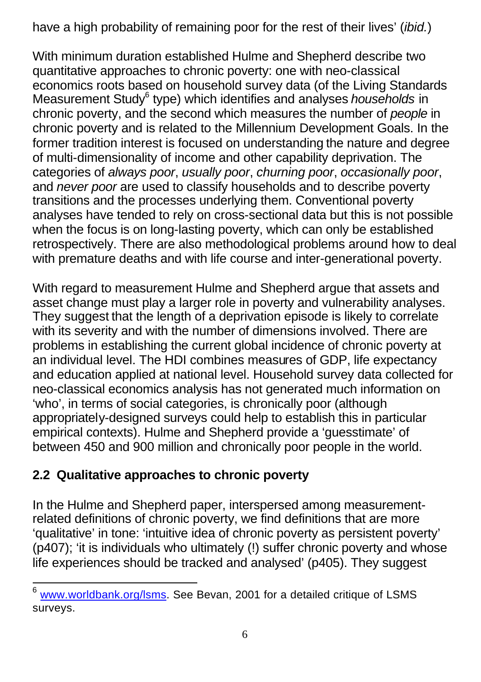have a high probability of remaining poor for the rest of their lives' (*ibid.*)

With minimum duration established Hulme and Shepherd describe two quantitative approaches to chronic poverty: one with neo-classical economics roots based on household survey data (of the Living Standards Measurement Study<sup>6</sup> type) which identifies and analyses *households* in chronic poverty, and the second which measures the number of *people* in chronic poverty and is related to the Millennium Development Goals. In the former tradition interest is focused on understanding the nature and degree of multi-dimensionality of income and other capability deprivation. The categories of *always poor*, *usually poor*, *churning poor*, *occasionally poor*, and *never poor* are used to classify households and to describe poverty transitions and the processes underlying them. Conventional poverty analyses have tended to rely on cross-sectional data but this is not possible when the focus is on long-lasting poverty, which can only be established retrospectively. There are also methodological problems around how to deal with premature deaths and with life course and inter-generational poverty.

With regard to measurement Hulme and Shepherd argue that assets and asset change must play a larger role in poverty and vulnerability analyses. They suggest that the length of a deprivation episode is likely to correlate with its severity and with the number of dimensions involved. There are problems in establishing the current global incidence of chronic poverty at an individual level. The HDI combines measures of GDP, life expectancy and education applied at national level. Household survey data collected for neo-classical economics analysis has not generated much information on 'who', in terms of social categories, is chronically poor (although appropriately-designed surveys could help to establish this in particular empirical contexts). Hulme and Shepherd provide a 'guesstimate' of between 450 and 900 million and chronically poor people in the world.

## **2.2 Qualitative approaches to chronic poverty**

l

In the Hulme and Shepherd paper, interspersed among measurementrelated definitions of chronic poverty, we find definitions that are more 'qualitative' in tone: 'intuitive idea of chronic poverty as persistent poverty' (p407); 'it is individuals who ultimately (!) suffer chronic poverty and whose life experiences should be tracked and analysed' (p405). They suggest

www.worldbank.org/lsms. See Bevan, 2001 for a detailed critique of LSMS surveys.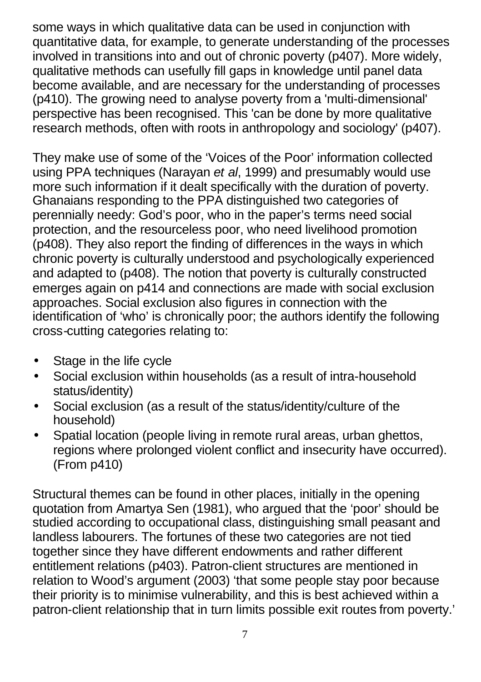some ways in which qualitative data can be used in conjunction with quantitative data, for example, to generate understanding of the processes involved in transitions into and out of chronic poverty (p407). More widely, qualitative methods can usefully fill gaps in knowledge until panel data become available, and are necessary for the understanding of processes (p410). The growing need to analyse poverty from a 'multi-dimensional' perspective has been recognised. This 'can be done by more qualitative research methods, often with roots in anthropology and sociology' (p407).

They make use of some of the 'Voices of the Poor' information collected using PPA techniques (Narayan *et al*, 1999) and presumably would use more such information if it dealt specifically with the duration of poverty. Ghanaians responding to the PPA distinguished two categories of perennially needy: God's poor, who in the paper's terms need social protection, and the resourceless poor, who need livelihood promotion (p408). They also report the finding of differences in the ways in which chronic poverty is culturally understood and psychologically experienced and adapted to (p408). The notion that poverty is culturally constructed emerges again on p414 and connections are made with social exclusion approaches. Social exclusion also figures in connection with the identification of 'who' is chronically poor; the authors identify the following cross-cutting categories relating to:

- Stage in the life cycle
- Social exclusion within households (as a result of intra-household status/identity)
- Social exclusion (as a result of the status/identity/culture of the household)
- Spatial location (people living in remote rural areas, urban ghettos, regions where prolonged violent conflict and insecurity have occurred). (From p410)

Structural themes can be found in other places, initially in the opening quotation from Amartya Sen (1981), who argued that the 'poor' should be studied according to occupational class, distinguishing small peasant and landless labourers. The fortunes of these two categories are not tied together since they have different endowments and rather different entitlement relations (p403). Patron-client structures are mentioned in relation to Wood's argument (2003) 'that some people stay poor because their priority is to minimise vulnerability, and this is best achieved within a patron-client relationship that in turn limits possible exit routes from poverty.'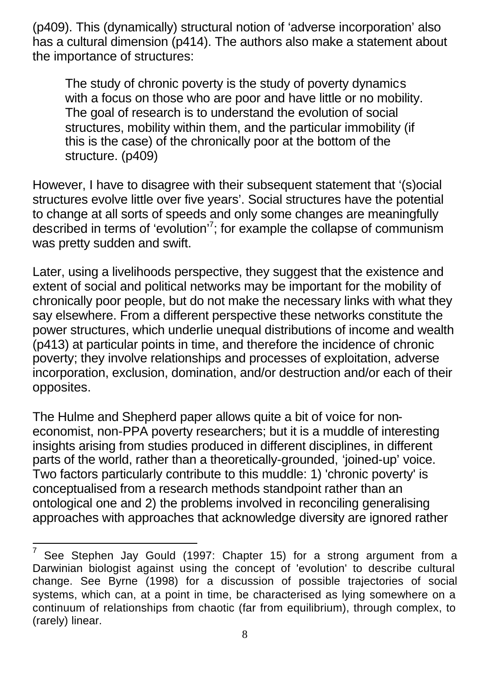(p409). This (dynamically) structural notion of 'adverse incorporation' also has a cultural dimension (p414). The authors also make a statement about the importance of structures:

The study of chronic poverty is the study of poverty dynamics with a focus on those who are poor and have little or no mobility. The goal of research is to understand the evolution of social structures, mobility within them, and the particular immobility (if this is the case) of the chronically poor at the bottom of the structure. (p409)

However, I have to disagree with their subsequent statement that '(s)ocial structures evolve little over five years'. Social structures have the potential to change at all sorts of speeds and only some changes are meaningfully described in terms of 'evolution'<sup>7</sup> ; for example the collapse of communism was pretty sudden and swift.

Later, using a livelihoods perspective, they suggest that the existence and extent of social and political networks may be important for the mobility of chronically poor people, but do not make the necessary links with what they say elsewhere. From a different perspective these networks constitute the power structures, which underlie unequal distributions of income and wealth (p413) at particular points in time, and therefore the incidence of chronic poverty; they involve relationships and processes of exploitation, adverse incorporation, exclusion, domination, and/or destruction and/or each of their opposites.

The Hulme and Shepherd paper allows quite a bit of voice for noneconomist, non-PPA poverty researchers; but it is a muddle of interesting insights arising from studies produced in different disciplines, in different parts of the world, rather than a theoretically-grounded, 'joined-up' voice. Two factors particularly contribute to this muddle: 1) 'chronic poverty' is conceptualised from a research methods standpoint rather than an ontological one and 2) the problems involved in reconciling generalising approaches with approaches that acknowledge diversity are ignored rather

l

<sup>7</sup> See Stephen Jay Gould (1997: Chapter 15) for a strong argument from a Darwinian biologist against using the concept of 'evolution' to describe cultural change. See Byrne (1998) for a discussion of possible trajectories of social systems, which can, at a point in time, be characterised as lying somewhere on a continuum of relationships from chaotic (far from equilibrium), through complex, to (rarely) linear.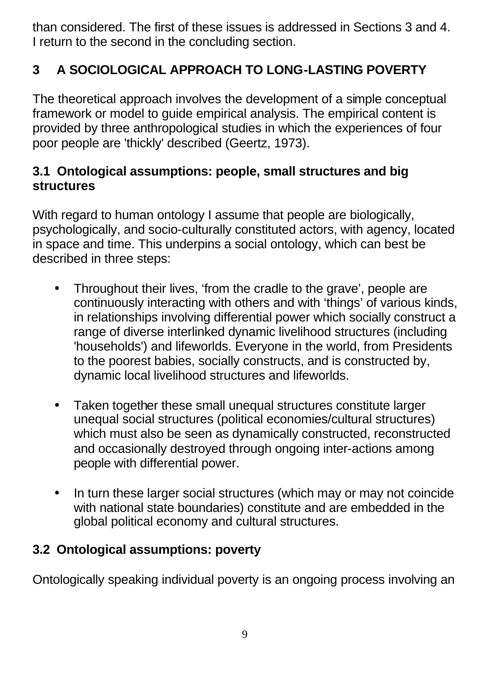than considered. The first of these issues is addressed in Sections 3 and 4. I return to the second in the concluding section.

# **3 A SOCIOLOGICAL APPROACH TO LONG-LASTING POVERTY**

The theoretical approach involves the development of a simple conceptual framework or model to guide empirical analysis. The empirical content is provided by three anthropological studies in which the experiences of four poor people are 'thickly' described (Geertz, 1973).

### **3.1 Ontological assumptions: people, small structures and big structures**

With regard to human ontology I assume that people are biologically, psychologically, and socio-culturally constituted actors, with agency, located in space and time. This underpins a social ontology, which can best be described in three steps:

- Throughout their lives, 'from the cradle to the grave', people are continuously interacting with others and with 'things' of various kinds, in relationships involving differential power which socially construct a range of diverse interlinked dynamic livelihood structures (including 'households') and lifeworlds. Everyone in the world, from Presidents to the poorest babies, socially constructs, and is constructed by, dynamic local livelihood structures and lifeworlds.
- Taken together these small unequal structures constitute larger unequal social structures (political economies/cultural structures) which must also be seen as dynamically constructed, reconstructed and occasionally destroyed through ongoing inter-actions among people with differential power.
- In turn these larger social structures (which may or may not coincide with national state boundaries) constitute and are embedded in the global political economy and cultural structures.

## **3.2 Ontological assumptions: poverty**

Ontologically speaking individual poverty is an ongoing process involving an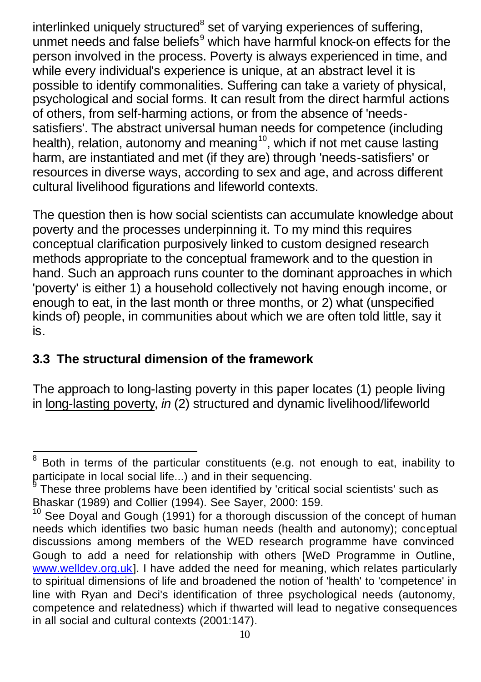interlinked uniquely structured<sup>8</sup> set of varying experiences of suffering, unmet needs and false beliefs<sup>9</sup> which have harmful knock-on effects for the person involved in the process. Poverty is always experienced in time, and while every individual's experience is unique, at an abstract level it is possible to identify commonalities. Suffering can take a variety of physical, psychological and social forms. It can result from the direct harmful actions of others, from self-harming actions, or from the absence of 'needssatisfiers'. The abstract universal human needs for competence (including health), relation, autonomy and meaning<sup>10</sup>, which if not met cause lasting harm, are instantiated and met (if they are) through 'needs-satisfiers' or resources in diverse ways, according to sex and age, and across different cultural livelihood figurations and lifeworld contexts.

The question then is how social scientists can accumulate knowledge about poverty and the processes underpinning it. To my mind this requires conceptual clarification purposively linked to custom designed research methods appropriate to the conceptual framework and to the question in hand. Such an approach runs counter to the dominant approaches in which 'poverty' is either 1) a household collectively not having enough income, or enough to eat, in the last month or three months, or 2) what (unspecified kinds of) people, in communities about which we are often told little, say it is.

### **3.3 The structural dimension of the framework**

l

The approach to long-lasting poverty in this paper locates (1) people living in long-lasting poverty, *in* (2) structured and dynamic livelihood/lifeworld

<sup>8</sup> Both in terms of the particular constituents (e.g. not enough to eat, inability to participate in local social life...) and in their sequencing.<br>
These three problems have been identified by leritied.

These three problems have been identified by 'critical social scientists' such as Bhaskar (1989) and Collier (1994). See Sayer, 2000: 159.

 $10$  See Doval and Gough (1991) for a thorough discussion of the concept of human needs which identifies two basic human needs (health and autonomy); conceptual discussions among members of the WED research programme have convinced Gough to add a need for relationship with others [WeD Programme in Outline, www.welldev.org.uk]. I have added the need for meaning, which relates particularly to spiritual dimensions of life and broadened the notion of 'health' to 'competence' in line with Ryan and Deci's identification of three psychological needs (autonomy, competence and relatedness) which if thwarted will lead to negative consequences in all social and cultural contexts (2001:147).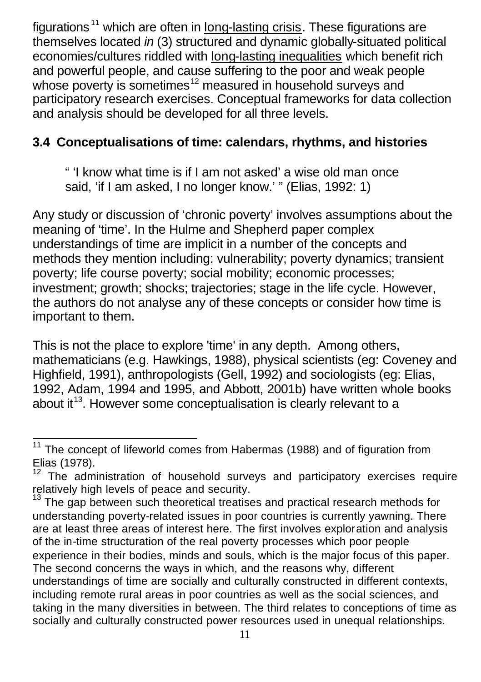figurations<sup>11</sup> which are often in long-lasting crisis. These figurations are themselves located *in* (3) structured and dynamic globally-situated political economies/cultures riddled with long-lasting inequalities which benefit rich and powerful people, and cause suffering to the poor and weak people whose poverty is sometimes<sup>12</sup> measured in household surveys and participatory research exercises. Conceptual frameworks for data collection and analysis should be developed for all three levels.

### **3.4 Conceptualisations of time: calendars, rhythms, and histories**

" 'I know what time is if I am not asked' a wise old man once said, 'if I am asked, I no longer know.' " (Elias, 1992: 1)

Any study or discussion of 'chronic poverty' involves assumptions about the meaning of 'time'. In the Hulme and Shepherd paper complex understandings of time are implicit in a number of the concepts and methods they mention including: vulnerability; poverty dynamics; transient poverty; life course poverty; social mobility; economic processes; investment; growth; shocks; trajectories; stage in the life cycle. However, the authors do not analyse any of these concepts or consider how time is important to them.

This is not the place to explore 'time' in any depth. Among others, mathematicians (e.g. Hawkings, 1988), physical scientists (eg: Coveney and Highfield, 1991), anthropologists (Gell, 1992) and sociologists (eg: Elias, 1992, Adam, 1994 and 1995, and Abbott, 2001b) have written whole books about it<sup>13</sup>. However some conceptualisation is clearly relevant to a

l The concept of lifeworld comes from Habermas (1988) and of figuration from Elias (1978).

 $12$  The administration of household surveys and participatory exercises require relatively high levels of peace and security.

The gap between such theoretical treatises and practical research methods for understanding poverty-related issues in poor countries is currently yawning. There are at least three areas of interest here. The first involves exploration and analysis of the in-time structuration of the real poverty processes which poor people experience in their bodies, minds and souls, which is the major focus of this paper. The second concerns the ways in which, and the reasons why, different understandings of time are socially and culturally constructed in different contexts, including remote rural areas in poor countries as well as the social sciences, and taking in the many diversities in between. The third relates to conceptions of time as socially and culturally constructed power resources used in unequal relationships.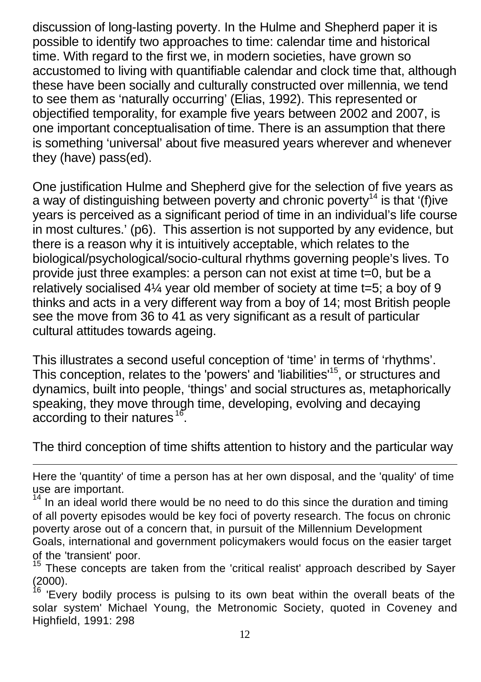discussion of long-lasting poverty. In the Hulme and Shepherd paper it is possible to identify two approaches to time: calendar time and historical time. With regard to the first we, in modern societies, have grown so accustomed to living with quantifiable calendar and clock time that, although these have been socially and culturally constructed over millennia, we tend to see them as 'naturally occurring' (Elias, 1992). This represented or objectified temporality, for example five years between 2002 and 2007, is one important conceptualisation of time. There is an assumption that there is something 'universal' about five measured years wherever and whenever they (have) pass(ed).

One justification Hulme and Shepherd give for the selection of five years as a way of distinguishing between poverty and chronic poverty<sup>14</sup> is that '(f)ive years is perceived as a significant period of time in an individual's life course in most cultures.' (p6). This assertion is not supported by any evidence, but there is a reason why it is intuitively acceptable, which relates to the biological/psychological/socio-cultural rhythms governing people's lives. To provide just three examples: a person can not exist at time t=0, but be a relatively socialised 4¼ year old member of society at time t=5; a boy of 9 thinks and acts in a very different way from a boy of 14; most British people see the move from 36 to 41 as very significant as a result of particular cultural attitudes towards ageing.

This illustrates a second useful conception of 'time' in terms of 'rhythms'. This conception, relates to the 'powers' and 'liabilities'<sup>15</sup>, or structures and dynamics, built into people, 'things' and social structures as, metaphorically speaking, they move through time, developing, evolving and decaying according to their natures <sup>16</sup>.

The third conception of time shifts attention to history and the particular way

l

Here the 'quantity' of time a person has at her own disposal, and the 'quality' of time use are important.

 $14$  In an ideal world there would be no need to do this since the duration and timing of all poverty episodes would be key foci of poverty research. The focus on chronic poverty arose out of a concern that, in pursuit of the Millennium Development Goals, international and government policymakers would focus on the easier target of the 'transient' poor.

These concepts are taken from the 'critical realist' approach described by Sayer  $(2000)$ .

'Every bodily process is pulsing to its own beat within the overall beats of the solar system' Michael Young, the Metronomic Society, quoted in Coveney and Highfield, 1991: 298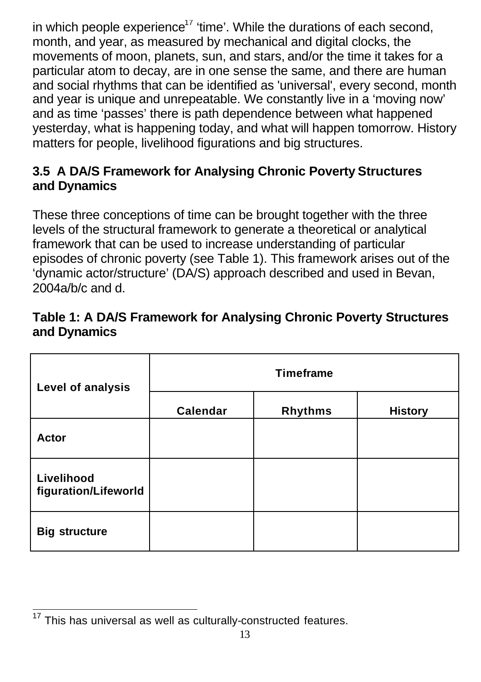in which people experience<sup>17</sup> 'time'. While the durations of each second, month, and year, as measured by mechanical and digital clocks, the movements of moon, planets, sun, and stars, and/or the time it takes for a particular atom to decay, are in one sense the same, and there are human and social rhythms that can be identified as 'universal', every second, month and year is unique and unrepeatable. We constantly live in a 'moving now' and as time 'passes' there is path dependence between what happened yesterday, what is happening today, and what will happen tomorrow. History matters for people, livelihood figurations and big structures.

### **3.5 A DA/S Framework for Analysing Chronic Poverty Structures and Dynamics**

These three conceptions of time can be brought together with the three levels of the structural framework to generate a theoretical or analytical framework that can be used to increase understanding of particular episodes of chronic poverty (see Table 1). This framework arises out of the 'dynamic actor/structure' (DA/S) approach described and used in Bevan, 2004a/b/c and d.

| Table 1: A DA/S Framework for Analysing Chronic Poverty Structures |  |
|--------------------------------------------------------------------|--|
| and Dynamics                                                       |  |

| Level of analysis                  | <b>Timeframe</b> |                |                |
|------------------------------------|------------------|----------------|----------------|
|                                    | Calendar         | <b>Rhythms</b> | <b>History</b> |
| <b>Actor</b>                       |                  |                |                |
| Livelihood<br>figuration/Lifeworld |                  |                |                |
| <b>Big structure</b>               |                  |                |                |

 $\overline{\phantom{a}}$ This has universal as well as culturally-constructed features.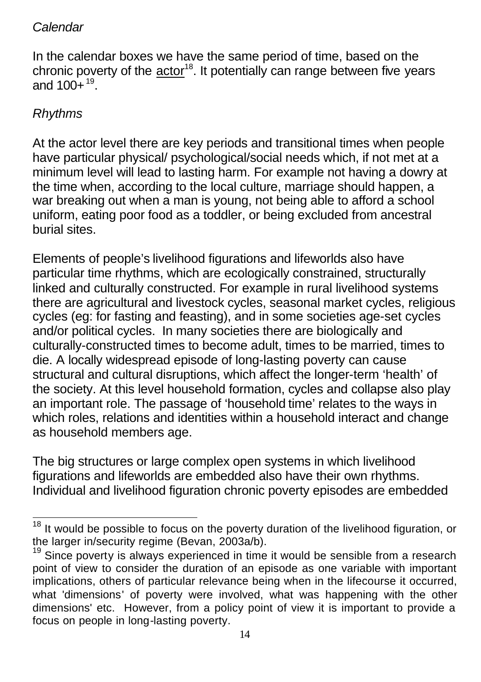### *Calendar*

In the calendar boxes we have the same period of time, based on the chronic poverty of the  $actor^{18}$ . It potentially can range between five years and  $100+$ <sup>19</sup>.

### *Rhythms*

At the actor level there are key periods and transitional times when people have particular physical/ psychological/social needs which, if not met at a minimum level will lead to lasting harm. For example not having a dowry at the time when, according to the local culture, marriage should happen, a war breaking out when a man is young, not being able to afford a school uniform, eating poor food as a toddler, or being excluded from ancestral burial sites.

Elements of people's livelihood figurations and lifeworlds also have particular time rhythms, which are ecologically constrained, structurally linked and culturally constructed. For example in rural livelihood systems there are agricultural and livestock cycles, seasonal market cycles, religious cycles (eg: for fasting and feasting), and in some societies age-set cycles and/or political cycles. In many societies there are biologically and culturally-constructed times to become adult, times to be married, times to die. A locally widespread episode of long-lasting poverty can cause structural and cultural disruptions, which affect the longer-term 'health' of the society. At this level household formation, cycles and collapse also play an important role. The passage of 'household time' relates to the ways in which roles, relations and identities within a household interact and change as household members age.

The big structures or large complex open systems in which livelihood figurations and lifeworlds are embedded also have their own rhythms. Individual and livelihood figuration chronic poverty episodes are embedded

l It would be possible to focus on the poverty duration of the livelihood figuration, or the larger in/security regime (Bevan, 2003a/b).

 $19$  Since poverty is always experienced in time it would be sensible from a research point of view to consider the duration of an episode as one variable with important implications, others of particular relevance being when in the lifecourse it occurred, what 'dimensions' of poverty were involved, what was happening with the other dimensions' etc. However, from a policy point of view it is important to provide a focus on people in long-lasting poverty.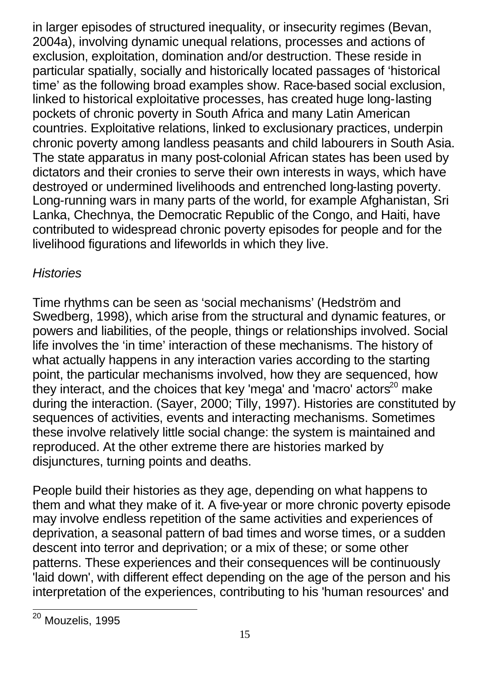in larger episodes of structured inequality, or insecurity regimes (Bevan, 2004a), involving dynamic unequal relations, processes and actions of exclusion, exploitation, domination and/or destruction. These reside in particular spatially, socially and historically located passages of 'historical time' as the following broad examples show. Race-based social exclusion, linked to historical exploitative processes, has created huge long-lasting pockets of chronic poverty in South Africa and many Latin American countries. Exploitative relations, linked to exclusionary practices, underpin chronic poverty among landless peasants and child labourers in South Asia. The state apparatus in many post-colonial African states has been used by dictators and their cronies to serve their own interests in ways, which have destroyed or undermined livelihoods and entrenched long-lasting poverty. Long-running wars in many parts of the world, for example Afghanistan, Sri Lanka, Chechnya, the Democratic Republic of the Congo, and Haiti, have contributed to widespread chronic poverty episodes for people and for the livelihood figurations and lifeworlds in which they live.

### *Histories*

Time rhythms can be seen as 'social mechanisms' (Hedström and Swedberg, 1998), which arise from the structural and dynamic features, or powers and liabilities, of the people, things or relationships involved. Social life involves the 'in time' interaction of these mechanisms. The history of what actually happens in any interaction varies according to the starting point, the particular mechanisms involved, how they are sequenced, how they interact, and the choices that key 'mega' and 'macro' actors<sup>20</sup> make during the interaction. (Sayer, 2000; Tilly, 1997). Histories are constituted by sequences of activities, events and interacting mechanisms. Sometimes these involve relatively little social change: the system is maintained and reproduced. At the other extreme there are histories marked by disjunctures, turning points and deaths.

People build their histories as they age, depending on what happens to them and what they make of it. A five-year or more chronic poverty episode may involve endless repetition of the same activities and experiences of deprivation, a seasonal pattern of bad times and worse times, or a sudden descent into terror and deprivation; or a mix of these; or some other patterns. These experiences and their consequences will be continuously 'laid down', with different effect depending on the age of the person and his interpretation of the experiences, contributing to his 'human resources' and

<sup>20</sup> Mouzelis, 1995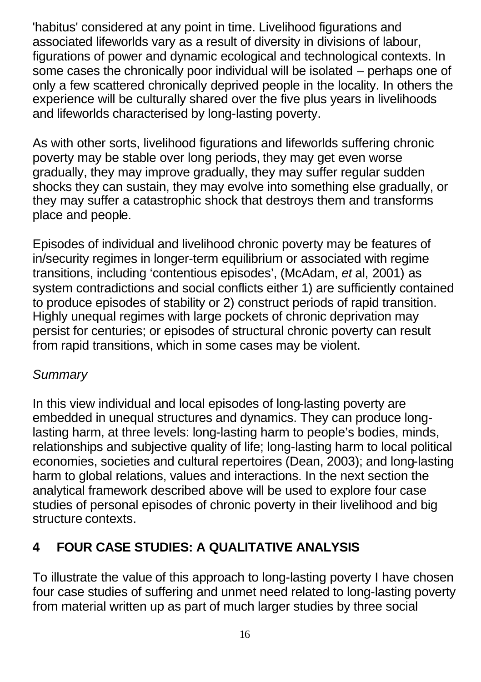'habitus' considered at any point in time. Livelihood figurations and associated lifeworlds vary as a result of diversity in divisions of labour, figurations of power and dynamic ecological and technological contexts. In some cases the chronically poor individual will be isolated – perhaps one of only a few scattered chronically deprived people in the locality. In others the experience will be culturally shared over the five plus years in livelihoods and lifeworlds characterised by long-lasting poverty.

As with other sorts, livelihood figurations and lifeworlds suffering chronic poverty may be stable over long periods, they may get even worse gradually, they may improve gradually, they may suffer regular sudden shocks they can sustain, they may evolve into something else gradually, or they may suffer a catastrophic shock that destroys them and transforms place and people.

Episodes of individual and livelihood chronic poverty may be features of in/security regimes in longer-term equilibrium or associated with regime transitions, including 'contentious episodes', (McAdam, *et* al, 2001) as system contradictions and social conflicts either 1) are sufficiently contained to produce episodes of stability or 2) construct periods of rapid transition. Highly unequal regimes with large pockets of chronic deprivation may persist for centuries; or episodes of structural chronic poverty can result from rapid transitions, which in some cases may be violent.

### *Summary*

In this view individual and local episodes of long-lasting poverty are embedded in unequal structures and dynamics. They can produce longlasting harm, at three levels: long-lasting harm to people's bodies, minds, relationships and subjective quality of life; long-lasting harm to local political economies, societies and cultural repertoires (Dean, 2003); and long-lasting harm to global relations, values and interactions. In the next section the analytical framework described above will be used to explore four case studies of personal episodes of chronic poverty in their livelihood and big structure contexts.

# **4 FOUR CASE STUDIES: A QUALITATIVE ANALYSIS**

To illustrate the value of this approach to long-lasting poverty I have chosen four case studies of suffering and unmet need related to long-lasting poverty from material written up as part of much larger studies by three social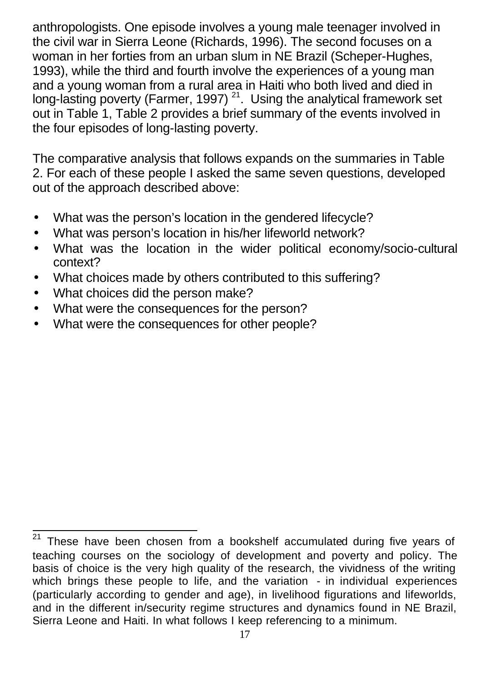anthropologists. One episode involves a young male teenager involved in the civil war in Sierra Leone (Richards, 1996). The second focuses on a woman in her forties from an urban slum in NE Brazil (Scheper-Hughes, 1993), while the third and fourth involve the experiences of a young man and a young woman from a rural area in Haiti who both lived and died in long-lasting poverty (Farmer, 1997)<sup>21</sup>. Using the analytical framework set out in Table 1, Table 2 provides a brief summary of the events involved in the four episodes of long-lasting poverty.

The comparative analysis that follows expands on the summaries in Table 2. For each of these people I asked the same seven questions, developed out of the approach described above:

- What was the person's location in the gendered lifecycle?
- What was person's location in his/her lifeworld network?
- What was the location in the wider political economy/socio-cultural context?
- What choices made by others contributed to this suffering?
- What choices did the person make?
- What were the consequences for the person?
- What were the consequences for other people?

 $21$ These have been chosen from a bookshelf accumulated during five years of teaching courses on the sociology of development and poverty and policy. The basis of choice is the very high quality of the research, the vividness of the writing which brings these people to life, and the variation - in individual experiences (particularly according to gender and age), in livelihood figurations and lifeworlds, and in the different in/security regime structures and dynamics found in NE Brazil, Sierra Leone and Haiti. In what follows I keep referencing to a minimum.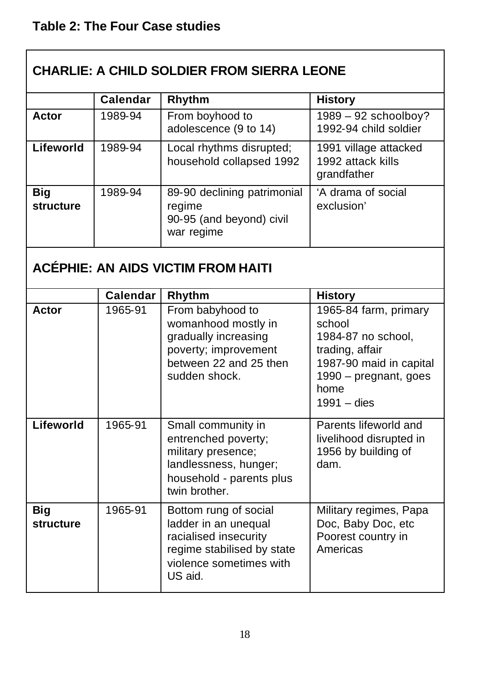| <b>CHARLIE: A CHILD SOLDIER FROM SIERRA LEONE</b> |                                           |                                                                                                                                            |                                                                                                                                                       |  |
|---------------------------------------------------|-------------------------------------------|--------------------------------------------------------------------------------------------------------------------------------------------|-------------------------------------------------------------------------------------------------------------------------------------------------------|--|
|                                                   | <b>Calendar</b>                           | Rhythm                                                                                                                                     | <b>History</b>                                                                                                                                        |  |
| Actor                                             | 1989-94                                   | From boyhood to<br>adolescence (9 to 14)                                                                                                   | $1989 - 92$ schoolboy?<br>1992-94 child soldier                                                                                                       |  |
| Lifeworld                                         | 1989-94                                   | Local rhythms disrupted;<br>household collapsed 1992                                                                                       | 1991 village attacked<br>1992 attack kills<br>grandfather                                                                                             |  |
| <b>Big</b><br>structure                           | 1989-94                                   | 89-90 declining patrimonial<br>regime<br>90-95 (and beyond) civil<br>war regime                                                            | 'A drama of social<br>exclusion'                                                                                                                      |  |
|                                                   | <b>ACÉPHIE: AN AIDS VICTIM FROM HAITI</b> |                                                                                                                                            |                                                                                                                                                       |  |
|                                                   | <b>Calendar</b>                           | Rhythm                                                                                                                                     | <b>History</b>                                                                                                                                        |  |
| Actor                                             | 1965-91                                   | From babyhood to<br>womanhood mostly in<br>gradually increasing<br>poverty; improvement<br>between 22 and 25 then<br>sudden shock.         | 1965-84 farm, primary<br>school<br>1984-87 no school,<br>trading, affair<br>1987-90 maid in capital<br>1990 - pregnant, goes<br>home<br>$1991 -$ dies |  |
| Lifeworld                                         | 1965-91                                   | Small community in<br>entrenched poverty;<br>military presence;<br>landlessness, hunger;<br>household - parents plus<br>twin brother.      | Parents lifeworld and<br>livelihood disrupted in<br>1956 by building of<br>dam.                                                                       |  |
| <b>Big</b><br>structure                           | 1965-91                                   | Bottom rung of social<br>ladder in an unequal<br>racialised insecurity<br>regime stabilised by state<br>violence sometimes with<br>US aid. | Military regimes, Papa<br>Doc, Baby Doc, etc<br>Poorest country in<br>Americas                                                                        |  |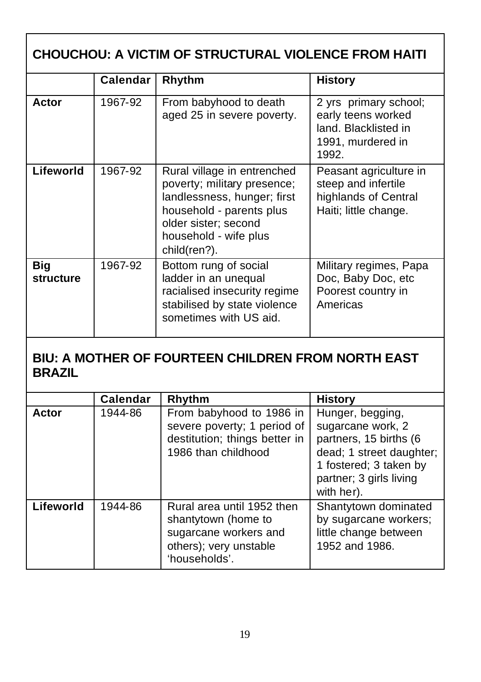| <b>CHOUCHOU: A VICTIM OF STRUCTURAL VIOLENCE FROM HAITI</b> |                 |                                                                                                                                                                                        |                                                                                                   |
|-------------------------------------------------------------|-----------------|----------------------------------------------------------------------------------------------------------------------------------------------------------------------------------------|---------------------------------------------------------------------------------------------------|
|                                                             | <b>Calendar</b> | Rhythm                                                                                                                                                                                 | History                                                                                           |
| Actor                                                       | 1967-92         | From babyhood to death<br>aged 25 in severe poverty.                                                                                                                                   | 2 yrs primary school;<br>early teens worked<br>land. Blacklisted in<br>1991, murdered in<br>1992. |
| Lifeworld                                                   | 1967-92         | Rural village in entrenched<br>poverty; military presence;<br>landlessness, hunger; first<br>household - parents plus<br>older sister; second<br>household - wife plus<br>child(ren?). | Peasant agriculture in<br>steep and infertile<br>highlands of Central<br>Haiti; little change.    |
| <b>Big</b><br>structure                                     | 1967-92         | Bottom rung of social<br>ladder in an unequal<br>racialised insecurity regime<br>stabilised by state violence<br>sometimes with US aid.                                                | Military regimes, Papa<br>Doc, Baby Doc, etc<br>Poorest country in<br>Americas                    |

### **BIU: A MOTHER OF FOURTEEN CHILDREN FROM NORTH EAST BRAZIL**

|           | <b>Calendar</b> | Rhythm                                                                                                                | <b>History</b>                                                                                                                                                 |
|-----------|-----------------|-----------------------------------------------------------------------------------------------------------------------|----------------------------------------------------------------------------------------------------------------------------------------------------------------|
| Actor     | 1944-86         | From babyhood to 1986 in<br>severe poverty; 1 period of<br>destitution; things better in<br>1986 than childhood       | Hunger, begging,<br>sugarcane work, 2<br>partners, 15 births (6<br>dead; 1 street daughter;<br>1 fostered; 3 taken by<br>partner; 3 girls living<br>with her). |
| Lifeworld | 1944-86         | Rural area until 1952 then<br>shantytown (home to<br>sugarcane workers and<br>others); very unstable<br>'households'. | Shantytown dominated<br>by sugarcane workers;<br>little change between<br>1952 and 1986.                                                                       |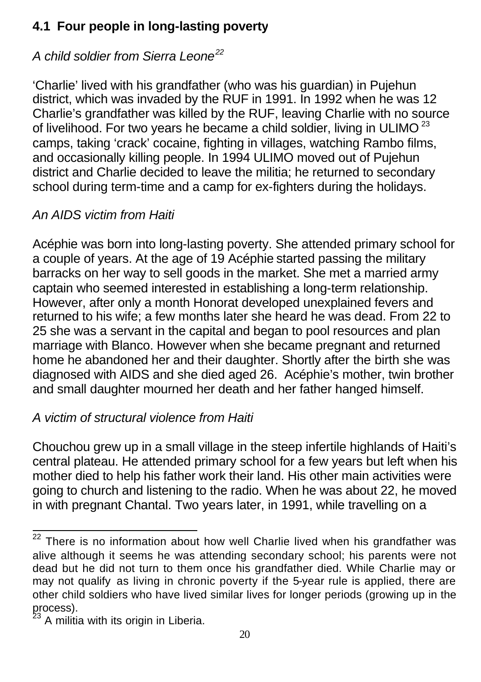## **4.1 Four people in long-lasting poverty**

# *A child soldier from Sierra Leone<sup>22</sup>*

'Charlie' lived with his grandfather (who was his guardian) in Pujehun district, which was invaded by the RUF in 1991. In 1992 when he was 12 Charlie's grandfather was killed by the RUF, leaving Charlie with no source of livelihood. For two years he became a child soldier, living in ULIMO $^{23}$ camps, taking 'crack' cocaine, fighting in villages, watching Rambo films, and occasionally killing people. In 1994 ULIMO moved out of Pujehun district and Charlie decided to leave the militia; he returned to secondary school during term-time and a camp for ex-fighters during the holidays.

# *An AIDS victim from Haiti*

Acéphie was born into long-lasting poverty. She attended primary school for a couple of years. At the age of 19 Acéphie started passing the military barracks on her way to sell goods in the market. She met a married army captain who seemed interested in establishing a long-term relationship. However, after only a month Honorat developed unexplained fevers and returned to his wife; a few months later she heard he was dead. From 22 to 25 she was a servant in the capital and began to pool resources and plan marriage with Blanco. However when she became pregnant and returned home he abandoned her and their daughter. Shortly after the birth she was diagnosed with AIDS and she died aged 26. Acéphie's mother, twin brother and small daughter mourned her death and her father hanged himself.

# *A victim of structural violence from Haiti*

Chouchou grew up in a small village in the steep infertile highlands of Haiti's central plateau. He attended primary school for a few years but left when his mother died to help his father work their land. His other main activities were going to church and listening to the radio. When he was about 22, he moved in with pregnant Chantal. Two years later, in 1991, while travelling on a

l

 $22$  There is no information about how well Charlie lived when his grandfather was alive although it seems he was attending secondary school; his parents were not dead but he did not turn to them once his grandfather died. While Charlie may or may not qualify as living in chronic poverty if the 5-year rule is applied, there are other child soldiers who have lived similar lives for longer periods (growing up in the process).

 $^{23}$  A militia with its origin in Liberia.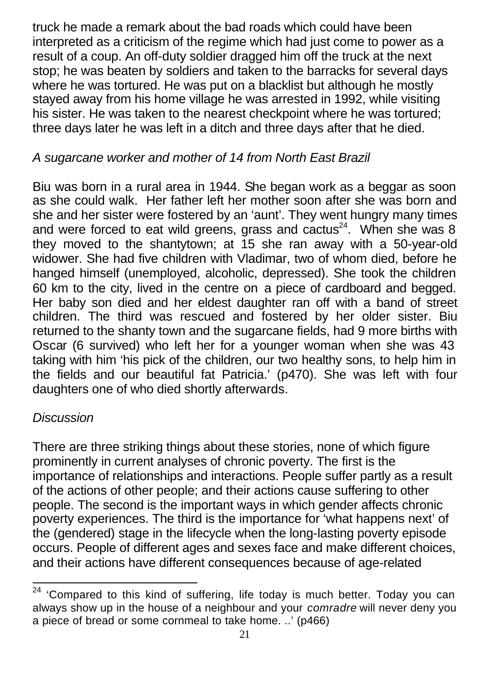truck he made a remark about the bad roads which could have been interpreted as a criticism of the regime which had just come to power as a result of a coup. An off-duty soldier dragged him off the truck at the next stop; he was beaten by soldiers and taken to the barracks for several days where he was tortured. He was put on a blacklist but although he mostly stayed away from his home village he was arrested in 1992, while visiting his sister. He was taken to the nearest checkpoint where he was tortured; three days later he was left in a ditch and three days after that he died.

### *A sugarcane worker and mother of 14 from North East Brazil*

Biu was born in a rural area in 1944. She began work as a beggar as soon as she could walk. Her father left her mother soon after she was born and she and her sister were fostered by an 'aunt'. They went hungry many times and were forced to eat wild greens, grass and cactus<sup>24</sup>. When she was 8 they moved to the shantytown; at 15 she ran away with a 50-year-old widower. She had five children with Vladimar, two of whom died, before he hanged himself (unemployed, alcoholic, depressed). She took the children 60 km to the city, lived in the centre on a piece of cardboard and begged. Her baby son died and her eldest daughter ran off with a band of street children. The third was rescued and fostered by her older sister. Biu returned to the shanty town and the sugarcane fields, had 9 more births with Oscar (6 survived) who left her for a younger woman when she was 43 taking with him 'his pick of the children, our two healthy sons, to help him in the fields and our beautiful fat Patricia.' (p470). She was left with four daughters one of who died shortly afterwards.

#### *Discussion*

l

There are three striking things about these stories, none of which figure prominently in current analyses of chronic poverty. The first is the importance of relationships and interactions. People suffer partly as a result of the actions of other people; and their actions cause suffering to other people. The second is the important ways in which gender affects chronic poverty experiences. The third is the importance for 'what happens next' of the (gendered) stage in the lifecycle when the long-lasting poverty episode occurs. People of different ages and sexes face and make different choices, and their actions have different consequences because of age-related

 $24$  'Compared to this kind of suffering, life today is much better. Today you can always show up in the house of a neighbour and your *comradre* will never deny you a piece of bread or some cornmeal to take home. ..' (p466)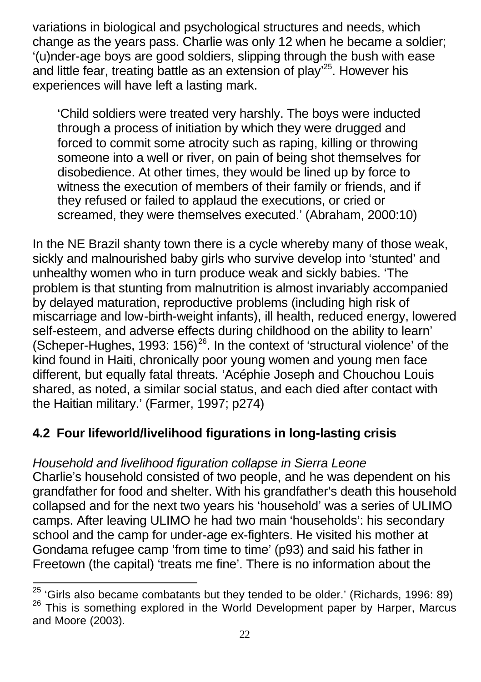variations in biological and psychological structures and needs, which change as the years pass. Charlie was only 12 when he became a soldier; '(u)nder-age boys are good soldiers, slipping through the bush with ease and little fear, treating battle as an extension of play<sup>25</sup>. However his experiences will have left a lasting mark.

'Child soldiers were treated very harshly. The boys were inducted through a process of initiation by which they were drugged and forced to commit some atrocity such as raping, killing or throwing someone into a well or river, on pain of being shot themselves for disobedience. At other times, they would be lined up by force to witness the execution of members of their family or friends, and if they refused or failed to applaud the executions, or cried or screamed, they were themselves executed.' (Abraham, 2000:10)

In the NE Brazil shanty town there is a cycle whereby many of those weak, sickly and malnourished baby girls who survive develop into 'stunted' and unhealthy women who in turn produce weak and sickly babies. 'The problem is that stunting from malnutrition is almost invariably accompanied by delayed maturation, reproductive problems (including high risk of miscarriage and low-birth-weight infants), ill health, reduced energy, lowered self-esteem, and adverse effects during childhood on the ability to learn' (Scheper-Hughes, 1993: 156) $^{26}$ . In the context of 'structural violence' of the kind found in Haiti, chronically poor young women and young men face different, but equally fatal threats. 'Acéphie Joseph and Chouchou Louis shared, as noted, a similar social status, and each died after contact with the Haitian military.' (Farmer, 1997; p274)

## **4.2 Four lifeworld/livelihood figurations in long-lasting crisis**

### *Household and livelihood figuration collapse in Sierra Leone*

l

Charlie's household consisted of two people, and he was dependent on his grandfather for food and shelter. With his grandfather's death this household collapsed and for the next two years his 'household' was a series of ULIMO camps. After leaving ULIMO he had two main 'households': his secondary school and the camp for under-age ex-fighters. He visited his mother at Gondama refugee camp 'from time to time' (p93) and said his father in Freetown (the capital) 'treats me fine'. There is no information about the

<sup>&</sup>lt;sup>25</sup> 'Girls also became combatants but they tended to be older.' (Richards, 1996: 89) This is something explored in the World Development paper by Harper, Marcus and Moore (2003).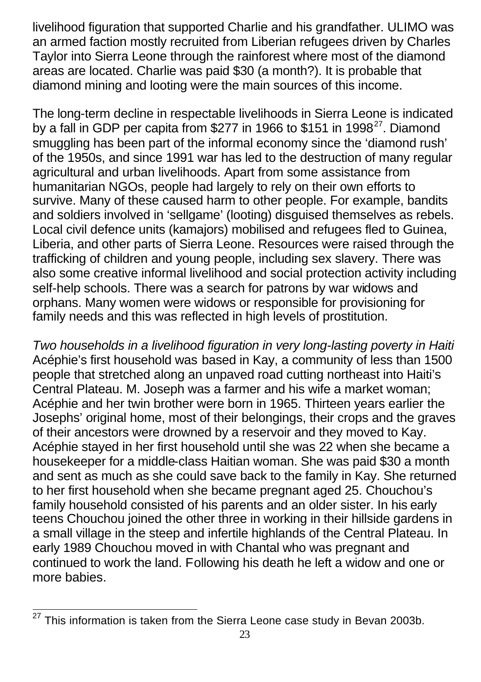livelihood figuration that supported Charlie and his grandfather. ULIMO was an armed faction mostly recruited from Liberian refugees driven by Charles Taylor into Sierra Leone through the rainforest where most of the diamond areas are located. Charlie was paid \$30 (a month?). It is probable that diamond mining and looting were the main sources of this income.

The long-term decline in respectable livelihoods in Sierra Leone is indicated by a fall in GDP per capita from \$277 in 1966 to \$151 in 1998 $^{27}$ . Diamond smuggling has been part of the informal economy since the 'diamond rush' of the 1950s, and since 1991 war has led to the destruction of many regular agricultural and urban livelihoods. Apart from some assistance from humanitarian NGOs, people had largely to rely on their own efforts to survive. Many of these caused harm to other people. For example, bandits and soldiers involved in 'sellgame' (looting) disguised themselves as rebels. Local civil defence units (kamajors) mobilised and refugees fled to Guinea, Liberia, and other parts of Sierra Leone. Resources were raised through the trafficking of children and young people, including sex slavery. There was also some creative informal livelihood and social protection activity including self-help schools. There was a search for patrons by war widows and orphans. Many women were widows or responsible for provisioning for family needs and this was reflected in high levels of prostitution.

*Two households in a livelihood figuration in very long-lasting poverty in Haiti*  Acéphie's first household was based in Kay, a community of less than 1500 people that stretched along an unpaved road cutting northeast into Haiti's Central Plateau. M. Joseph was a farmer and his wife a market woman; Acéphie and her twin brother were born in 1965. Thirteen years earlier the Josephs' original home, most of their belongings, their crops and the graves of their ancestors were drowned by a reservoir and they moved to Kay. Acéphie stayed in her first household until she was 22 when she became a housekeeper for a middle-class Haitian woman. She was paid \$30 a month and sent as much as she could save back to the family in Kay. She returned to her first household when she became pregnant aged 25. Chouchou's family household consisted of his parents and an older sister. In his early teens Chouchou joined the other three in working in their hillside gardens in a small village in the steep and infertile highlands of the Central Plateau. In early 1989 Chouchou moved in with Chantal who was pregnant and continued to work the land. Following his death he left a widow and one or more babies.

 $\overline{\phantom{a}}$ <sup>27</sup> This information is taken from the Sierra Leone case study in Bevan 2003b.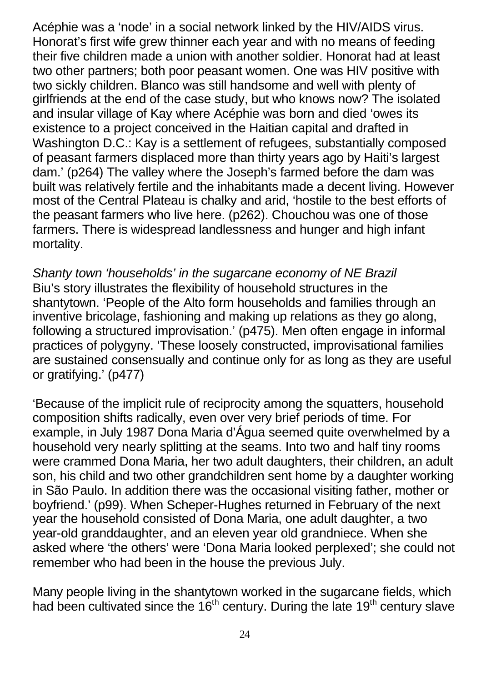Acéphie was a 'node' in a social network linked by the HIV/AIDS virus. Honorat's first wife grew thinner each year and with no means of feeding their five children made a union with another soldier. Honorat had at least two other partners; both poor peasant women. One was HIV positive with two sickly children. Blanco was still handsome and well with plenty of girlfriends at the end of the case study, but who knows now? The isolated and insular village of Kay where Acéphie was born and died 'owes its existence to a project conceived in the Haitian capital and drafted in Washington D.C.: Kay is a settlement of refugees, substantially composed of peasant farmers displaced more than thirty years ago by Haiti's largest dam.' (p264) The valley where the Joseph's farmed before the dam was built was relatively fertile and the inhabitants made a decent living. However most of the Central Plateau is chalky and arid, 'hostile to the best efforts of the peasant farmers who live here. (p262). Chouchou was one of those farmers. There is widespread landlessness and hunger and high infant mortality.

*Shanty town 'households' in the sugarcane economy of NE Brazil* Biu's story illustrates the flexibility of household structures in the shantytown. 'People of the Alto form households and families through an inventive bricolage, fashioning and making up relations as they go along, following a structured improvisation.' (p475). Men often engage in informal practices of polygyny. 'These loosely constructed, improvisational families are sustained consensually and continue only for as long as they are useful or gratifying.' (p477)

'Because of the implicit rule of reciprocity among the squatters, household composition shifts radically, even over very brief periods of time. For example, in July 1987 Dona Maria d'Água seemed quite overwhelmed by a household very nearly splitting at the seams. Into two and half tiny rooms were crammed Dona Maria, her two adult daughters, their children, an adult son, his child and two other grandchildren sent home by a daughter working in São Paulo. In addition there was the occasional visiting father, mother or boyfriend.' (p99). When Scheper-Hughes returned in February of the next year the household consisted of Dona Maria, one adult daughter, a two year-old granddaughter, and an eleven year old grandniece. When she asked where 'the others' were 'Dona Maria looked perplexed'; she could not remember who had been in the house the previous July.

Many people living in the shantytown worked in the sugarcane fields, which had been cultivated since the 16<sup>th</sup> century. During the late 19<sup>th</sup> century slave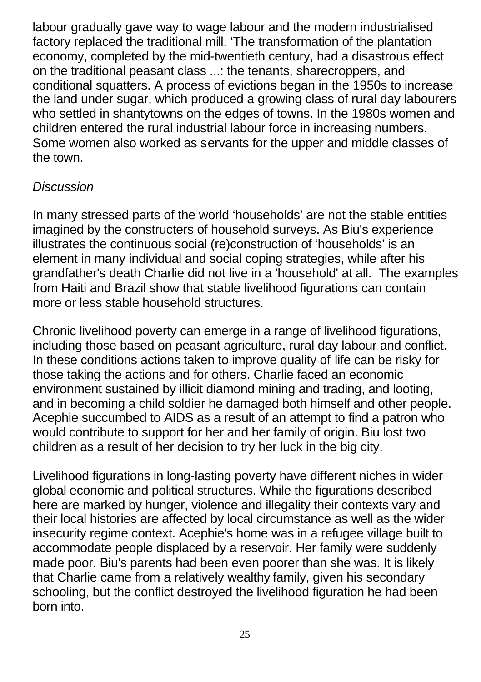labour gradually gave way to wage labour and the modern industrialised factory replaced the traditional mill. 'The transformation of the plantation economy, completed by the mid-twentieth century, had a disastrous effect on the traditional peasant class ...: the tenants, sharecroppers, and conditional squatters. A process of evictions began in the 1950s to increase the land under sugar, which produced a growing class of rural day labourers who settled in shantytowns on the edges of towns. In the 1980s women and children entered the rural industrial labour force in increasing numbers. Some women also worked as servants for the upper and middle classes of the town.

### *Discussion*

In many stressed parts of the world 'households' are not the stable entities imagined by the constructers of household surveys. As Biu's experience illustrates the continuous social (re)construction of 'households' is an element in many individual and social coping strategies, while after his grandfather's death Charlie did not live in a 'household' at all. The examples from Haiti and Brazil show that stable livelihood figurations can contain more or less stable household structures.

Chronic livelihood poverty can emerge in a range of livelihood figurations, including those based on peasant agriculture, rural day labour and conflict. In these conditions actions taken to improve quality of life can be risky for those taking the actions and for others. Charlie faced an economic environment sustained by illicit diamond mining and trading, and looting, and in becoming a child soldier he damaged both himself and other people. Acephie succumbed to AIDS as a result of an attempt to find a patron who would contribute to support for her and her family of origin. Biu lost two children as a result of her decision to try her luck in the big city.

Livelihood figurations in long-lasting poverty have different niches in wider global economic and political structures. While the figurations described here are marked by hunger, violence and illegality their contexts vary and their local histories are affected by local circumstance as well as the wider insecurity regime context. Acephie's home was in a refugee village built to accommodate people displaced by a reservoir. Her family were suddenly made poor. Biu's parents had been even poorer than she was. It is likely that Charlie came from a relatively wealthy family, given his secondary schooling, but the conflict destroyed the livelihood figuration he had been born into.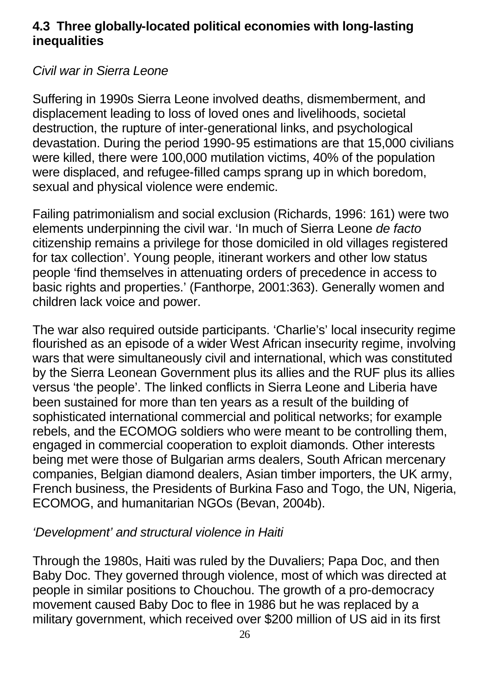### **4.3 Three globally-located political economies with long-lasting inequalities**

### *Civil war in Sierra Leone*

Suffering in 1990s Sierra Leone involved deaths, dismemberment, and displacement leading to loss of loved ones and livelihoods, societal destruction, the rupture of inter-generational links, and psychological devastation. During the period 1990-95 estimations are that 15,000 civilians were killed, there were 100,000 mutilation victims, 40% of the population were displaced, and refugee-filled camps sprang up in which boredom, sexual and physical violence were endemic.

Failing patrimonialism and social exclusion (Richards, 1996: 161) were two elements underpinning the civil war. 'In much of Sierra Leone *de facto* citizenship remains a privilege for those domiciled in old villages registered for tax collection'. Young people, itinerant workers and other low status people 'find themselves in attenuating orders of precedence in access to basic rights and properties.' (Fanthorpe, 2001:363). Generally women and children lack voice and power.

The war also required outside participants. 'Charlie's' local insecurity regime flourished as an episode of a wider West African insecurity regime, involving wars that were simultaneously civil and international, which was constituted by the Sierra Leonean Government plus its allies and the RUF plus its allies versus 'the people'. The linked conflicts in Sierra Leone and Liberia have been sustained for more than ten years as a result of the building of sophisticated international commercial and political networks; for example rebels, and the ECOMOG soldiers who were meant to be controlling them, engaged in commercial cooperation to exploit diamonds. Other interests being met were those of Bulgarian arms dealers, South African mercenary companies, Belgian diamond dealers, Asian timber importers, the UK army, French business, the Presidents of Burkina Faso and Togo, the UN, Nigeria, ECOMOG, and humanitarian NGOs (Bevan, 2004b).

#### *'Development' and structural violence in Haiti*

Through the 1980s, Haiti was ruled by the Duvaliers; Papa Doc, and then Baby Doc. They governed through violence, most of which was directed at people in similar positions to Chouchou. The growth of a pro-democracy movement caused Baby Doc to flee in 1986 but he was replaced by a military government, which received over \$200 million of US aid in its first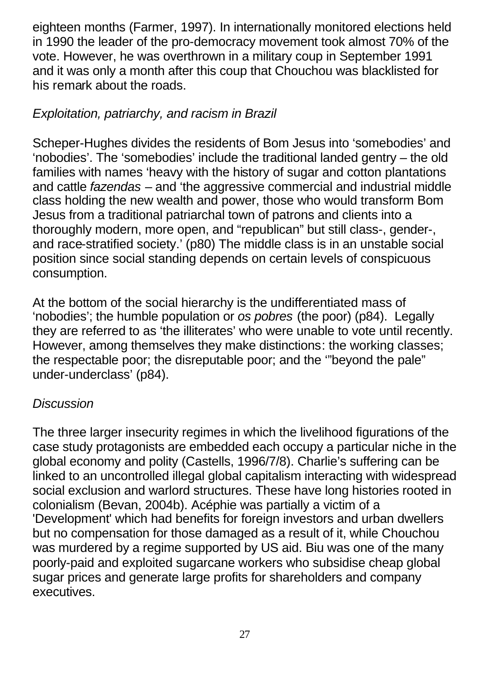eighteen months (Farmer, 1997). In internationally monitored elections held in 1990 the leader of the pro-democracy movement took almost 70% of the vote. However, he was overthrown in a military coup in September 1991 and it was only a month after this coup that Chouchou was blacklisted for his remark about the roads.

### *Exploitation, patriarchy, and racism in Brazil*

Scheper-Hughes divides the residents of Bom Jesus into 'somebodies' and 'nobodies'. The 'somebodies' include the traditional landed gentry – the old families with names 'heavy with the history of sugar and cotton plantations and cattle *fazendas* – and 'the aggressive commercial and industrial middle class holding the new wealth and power, those who would transform Bom Jesus from a traditional patriarchal town of patrons and clients into a thoroughly modern, more open, and "republican" but still class-, gender-, and race-stratified society.' (p80) The middle class is in an unstable social position since social standing depends on certain levels of conspicuous consumption.

At the bottom of the social hierarchy is the undifferentiated mass of 'nobodies'; the humble population or *os pobres* (the poor) (p84). Legally they are referred to as 'the illiterates' who were unable to vote until recently. However, among themselves they make distinctions: the working classes; the respectable poor; the disreputable poor; and the '"beyond the pale" under-underclass' (p84).

#### *Discussion*

The three larger insecurity regimes in which the livelihood figurations of the case study protagonists are embedded each occupy a particular niche in the global economy and polity (Castells, 1996/7/8). Charlie's suffering can be linked to an uncontrolled illegal global capitalism interacting with widespread social exclusion and warlord structures. These have long histories rooted in colonialism (Bevan, 2004b). Acéphie was partially a victim of a 'Development' which had benefits for foreign investors and urban dwellers but no compensation for those damaged as a result of it, while Chouchou was murdered by a regime supported by US aid. Biu was one of the many poorly-paid and exploited sugarcane workers who subsidise cheap global sugar prices and generate large profits for shareholders and company executives.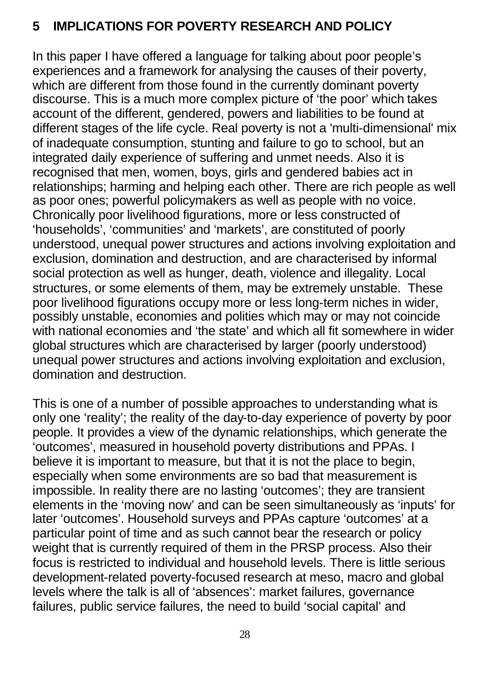### **5 IMPLICATIONS FOR POVERTY RESEARCH AND POLICY**

In this paper I have offered a language for talking about poor people's experiences and a framework for analysing the causes of their poverty, which are different from those found in the currently dominant poverty discourse. This is a much more complex picture of 'the poor' which takes account of the different, gendered, powers and liabilities to be found at different stages of the life cycle. Real poverty is not a 'multi-dimensional' mix of inadequate consumption, stunting and failure to go to school, but an integrated daily experience of suffering and unmet needs. Also it is recognised that men, women, boys, girls and gendered babies act in relationships; harming and helping each other. There are rich people as well as poor ones; powerful policymakers as well as people with no voice. Chronically poor livelihood figurations, more or less constructed of 'households', 'communities' and 'markets', are constituted of poorly understood, unequal power structures and actions involving exploitation and exclusion, domination and destruction, and are characterised by informal social protection as well as hunger, death, violence and illegality. Local structures, or some elements of them, may be extremely unstable. These poor livelihood figurations occupy more or less long-term niches in wider, possibly unstable, economies and polities which may or may not coincide with national economies and 'the state' and which all fit somewhere in wider global structures which are characterised by larger (poorly understood) unequal power structures and actions involving exploitation and exclusion, domination and destruction.

This is one of a number of possible approaches to understanding what is only one 'reality'; the reality of the day-to-day experience of poverty by poor people. It provides a view of the dynamic relationships, which generate the 'outcomes', measured in household poverty distributions and PPAs. I believe it is important to measure, but that it is not the place to begin, especially when some environments are so bad that measurement is impossible. In reality there are no lasting 'outcomes'; they are transient elements in the 'moving now' and can be seen simultaneously as 'inputs' for later 'outcomes'. Household surveys and PPAs capture 'outcomes' at a particular point of time and as such cannot bear the research or policy weight that is currently required of them in the PRSP process. Also their focus is restricted to individual and household levels. There is little serious development-related poverty-focused research at meso, macro and global levels where the talk is all of 'absences': market failures, governance failures, public service failures, the need to build 'social capital' and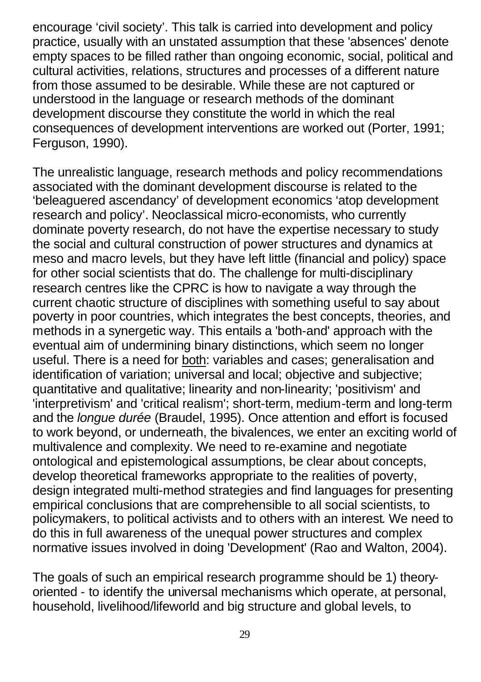encourage 'civil society'. This talk is carried into development and policy practice, usually with an unstated assumption that these 'absences' denote empty spaces to be filled rather than ongoing economic, social, political and cultural activities, relations, structures and processes of a different nature from those assumed to be desirable. While these are not captured or understood in the language or research methods of the dominant development discourse they constitute the world in which the real consequences of development interventions are worked out (Porter, 1991; Ferguson, 1990).

The unrealistic language, research methods and policy recommendations associated with the dominant development discourse is related to the 'beleaguered ascendancy' of development economics 'atop development research and policy'. Neoclassical micro-economists, who currently dominate poverty research, do not have the expertise necessary to study the social and cultural construction of power structures and dynamics at meso and macro levels, but they have left little (financial and policy) space for other social scientists that do. The challenge for multi-disciplinary research centres like the CPRC is how to navigate a way through the current chaotic structure of disciplines with something useful to say about poverty in poor countries, which integrates the best concepts, theories, and methods in a synergetic way. This entails a 'both-and' approach with the eventual aim of undermining binary distinctions, which seem no longer useful. There is a need for both: variables and cases; generalisation and identification of variation; universal and local; objective and subjective; quantitative and qualitative; linearity and non-linearity; 'positivism' and 'interpretivism' and 'critical realism'; short-term, medium-term and long-term and the *longue durée* (Braudel, 1995). Once attention and effort is focused to work beyond, or underneath, the bivalences, we enter an exciting world of multivalence and complexity. We need to re-examine and negotiate ontological and epistemological assumptions, be clear about concepts, develop theoretical frameworks appropriate to the realities of poverty, design integrated multi-method strategies and find languages for presenting empirical conclusions that are comprehensible to all social scientists, to policymakers, to political activists and to others with an interest. We need to do this in full awareness of the unequal power structures and complex normative issues involved in doing 'Development' (Rao and Walton, 2004).

The goals of such an empirical research programme should be 1) theoryoriented - to identify the universal mechanisms which operate, at personal, household, livelihood/lifeworld and big structure and global levels, to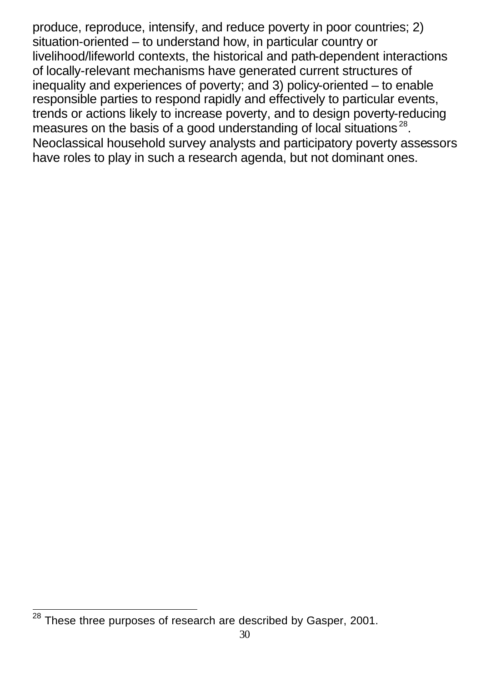produce, reproduce, intensify, and reduce poverty in poor countries; 2) situation-oriented – to understand how, in particular country or livelihood/lifeworld contexts, the historical and path-dependent interactions of locally-relevant mechanisms have generated current structures of inequality and experiences of poverty; and 3) policy-oriented – to enable responsible parties to respond rapidly and effectively to particular events, trends or actions likely to increase poverty, and to design poverty-reducing measures on the basis of a good understanding of local situations<sup>28</sup>. Neoclassical household survey analysts and participatory poverty assessors have roles to play in such a research agenda, but not dominant ones.

 $\overline{\phantom{a}}$  $^{28}$  These three purposes of research are described by Gasper, 2001.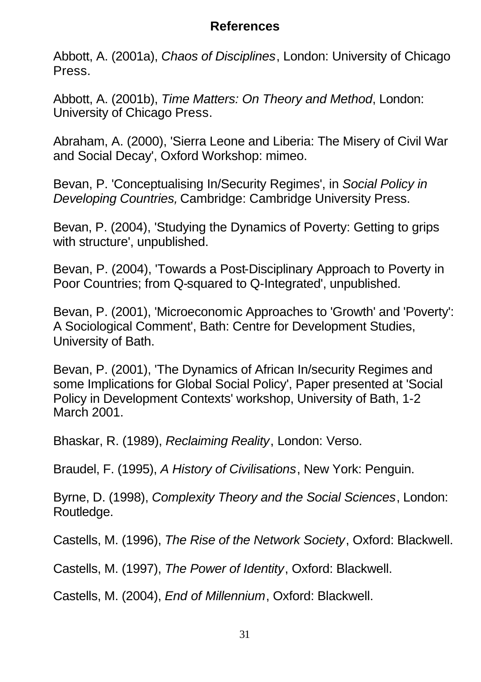### **References**

Abbott, A. (2001a), *Chaos of Disciplines*, London: University of Chicago Press.

Abbott, A. (2001b), *Time Matters: On Theory and Method*, London: University of Chicago Press.

Abraham, A. (2000), 'Sierra Leone and Liberia: The Misery of Civil War and Social Decay', Oxford Workshop: mimeo.

Bevan, P. 'Conceptualising In/Security Regimes', in *Social Policy in Developing Countries,* Cambridge: Cambridge University Press.

Bevan, P. (2004), 'Studying the Dynamics of Poverty: Getting to grips with structure', unpublished.

Bevan, P. (2004), 'Towards a Post-Disciplinary Approach to Poverty in Poor Countries; from Q-squared to Q-Integrated', unpublished.

Bevan, P. (2001), 'Microeconomic Approaches to 'Growth' and 'Poverty': A Sociological Comment', Bath: Centre for Development Studies, University of Bath.

Bevan, P. (2001), 'The Dynamics of African In/security Regimes and some Implications for Global Social Policy', Paper presented at 'Social Policy in Development Contexts' workshop, University of Bath, 1-2 March 2001.

Bhaskar, R. (1989), *Reclaiming Reality*, London: Verso.

Braudel, F. (1995), *A History of Civilisations*, New York: Penguin.

Byrne, D. (1998), *Complexity Theory and the Social Sciences*, London: Routledge.

Castells, M. (1996), *The Rise of the Network Society*, Oxford: Blackwell.

Castells, M. (1997), *The Power of Identity*, Oxford: Blackwell.

Castells, M. (2004), *End of Millennium*, Oxford: Blackwell.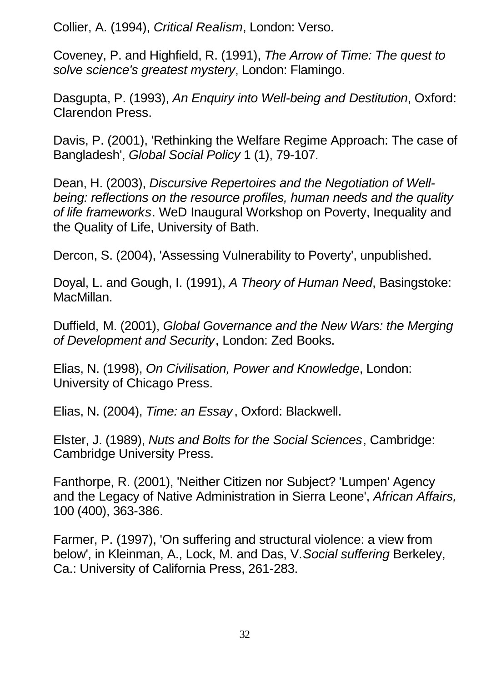Collier, A. (1994), *Critical Realism*, London: Verso.

Coveney, P. and Highfield, R. (1991), *The Arrow of Time: The quest to solve science's greatest mystery*, London: Flamingo.

Dasgupta, P. (1993), *An Enquiry into Well-being and Destitution*, Oxford: Clarendon Press.

Davis, P. (2001), 'Rethinking the Welfare Regime Approach: The case of Bangladesh', *Global Social Policy* 1 (1), 79-107.

Dean, H. (2003), *Discursive Repertoires and the Negotiation of Wellbeing: reflections on the resource profiles, human needs and the quality of life frameworks*. WeD Inaugural Workshop on Poverty, Inequality and the Quality of Life, University of Bath.

Dercon, S. (2004), 'Assessing Vulnerability to Poverty', unpublished.

Doyal, L. and Gough, I. (1991), *A Theory of Human Need*, Basingstoke: MacMillan.

Duffield, M. (2001), *Global Governance and the New Wars: the Merging of Development and Security*, London: Zed Books.

Elias, N. (1998), *On Civilisation, Power and Knowledge*, London: University of Chicago Press.

Elias, N. (2004), *Time: an Essay*, Oxford: Blackwell.

Elster, J. (1989), *Nuts and Bolts for the Social Sciences*, Cambridge: Cambridge University Press.

Fanthorpe, R. (2001), 'Neither Citizen nor Subject? 'Lumpen' Agency and the Legacy of Native Administration in Sierra Leone', *African Affairs,* 100 (400), 363-386.

Farmer, P. (1997), 'On suffering and structural violence: a view from below', in Kleinman, A., Lock, M. and Das, V.*Social suffering* Berkeley, Ca.: University of California Press, 261-283.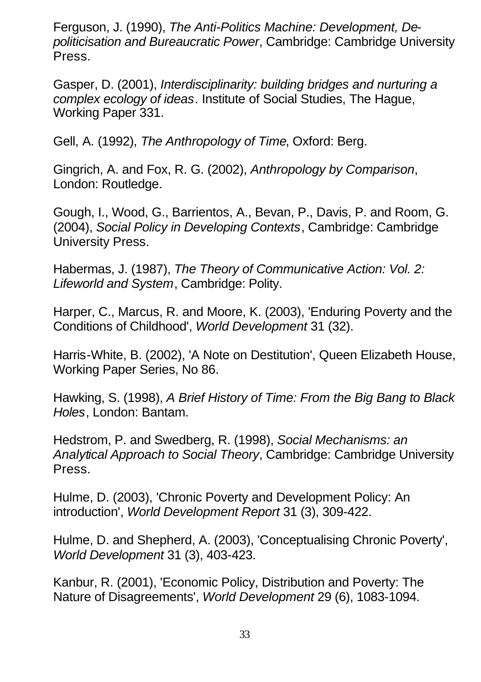Ferguson, J. (1990), *The Anti-Politics Machine: Development, Depoliticisation and Bureaucratic Power*, Cambridge: Cambridge University Press.

Gasper, D. (2001), *Interdisciplinarity: building bridges and nurturing a complex ecology of ideas*. Institute of Social Studies, The Hague, Working Paper 331.

Gell, A. (1992), *The Anthropology of Time*, Oxford: Berg.

Gingrich, A. and Fox, R. G. (2002), *Anthropology by Comparison*, London: Routledge.

Gough, I., Wood, G., Barrientos, A., Bevan, P., Davis, P. and Room, G. (2004), *Social Policy in Developing Contexts*, Cambridge: Cambridge University Press.

Habermas, J. (1987), *The Theory of Communicative Action: Vol. 2: Lifeworld and System*, Cambridge: Polity.

Harper, C., Marcus, R. and Moore, K. (2003), 'Enduring Poverty and the Conditions of Childhood', *World Development* 31 (32).

Harris-White, B. (2002), 'A Note on Destitution', Queen Elizabeth House, Working Paper Series, No 86.

Hawking, S. (1998), *A Brief History of Time: From the Big Bang to Black Holes*, London: Bantam.

Hedstrom, P. and Swedberg, R. (1998), *Social Mechanisms: an Analytical Approach to Social Theory*, Cambridge: Cambridge University Press.

Hulme, D. (2003), 'Chronic Poverty and Development Policy: An introduction', *World Development Report* 31 (3), 309-422.

Hulme, D. and Shepherd, A. (2003), 'Conceptualising Chronic Poverty', *World Development* 31 (3), 403-423.

Kanbur, R. (2001), 'Economic Policy, Distribution and Poverty: The Nature of Disagreements', *World Development* 29 (6), 1083-1094.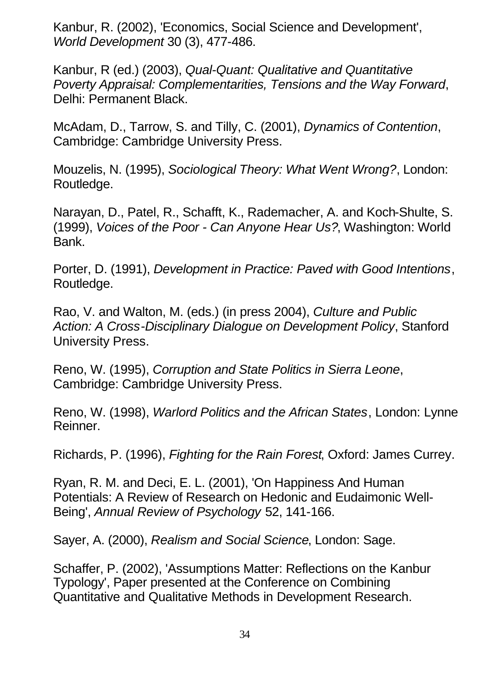Kanbur, R. (2002), 'Economics, Social Science and Development', *World Development* 30 (3), 477-486.

Kanbur, R (ed.) (2003), *Qual-Quant: Qualitative and Quantitative Poverty Appraisal: Complementarities, Tensions and the Way Forward*, Delhi: Permanent Black.

McAdam, D., Tarrow, S. and Tilly, C. (2001), *Dynamics of Contention*, Cambridge: Cambridge University Press.

Mouzelis, N. (1995), *Sociological Theory: What Went Wrong?*, London: Routledge.

Narayan, D., Patel, R., Schafft, K., Rademacher, A. and Koch-Shulte, S. (1999), *Voices of the Poor - Can Anyone Hear Us?*, Washington: World Bank.

Porter, D. (1991), *Development in Practice: Paved with Good Intentions*, Routledge.

Rao, V. and Walton, M. (eds.) (in press 2004), *Culture and Public Action: A Cross-Disciplinary Dialogue on Development Policy*, Stanford University Press.

Reno, W. (1995), *Corruption and State Politics in Sierra Leone*, Cambridge: Cambridge University Press.

Reno, W. (1998), *Warlord Politics and the African States*, London: Lynne Reinner.

Richards, P. (1996), *Fighting for the Rain Forest*, Oxford: James Currey.

Ryan, R. M. and Deci, E. L. (2001), 'On Happiness And Human Potentials: A Review of Research on Hedonic and Eudaimonic Well-Being', *Annual Review of Psychology* 52, 141-166.

Sayer, A. (2000), *Realism and Social Science*, London: Sage.

Schaffer, P. (2002), 'Assumptions Matter: Reflections on the Kanbur Typology', Paper presented at the Conference on Combining Quantitative and Qualitative Methods in Development Research.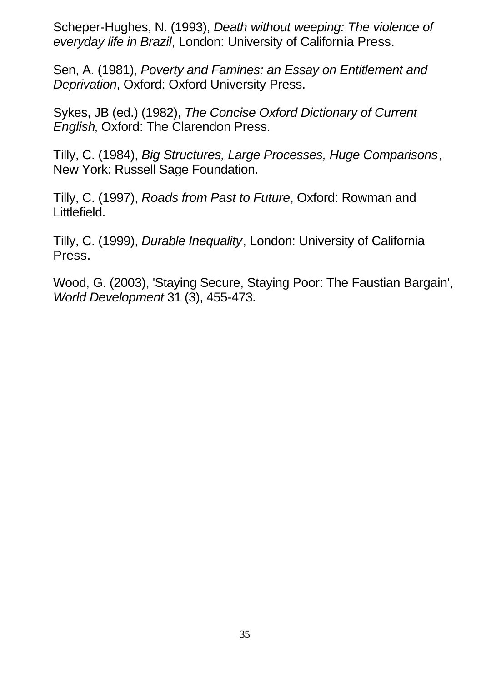Scheper-Hughes, N. (1993), *Death without weeping: The violence of everyday life in Brazil*, London: University of California Press.

Sen, A. (1981), *Poverty and Famines: an Essay on Entitlement and Deprivation*, Oxford: Oxford University Press.

Sykes, JB (ed.) (1982), *The Concise Oxford Dictionary of Current English*, Oxford: The Clarendon Press.

Tilly, C. (1984), *Big Structures, Large Processes, Huge Comparisons*, New York: Russell Sage Foundation.

Tilly, C. (1997), *Roads from Past to Future*, Oxford: Rowman and Littlefield.

Tilly, C. (1999), *Durable Inequality*, London: University of California Press.

Wood, G. (2003), 'Staying Secure, Staying Poor: The Faustian Bargain', *World Development* 31 (3), 455-473.